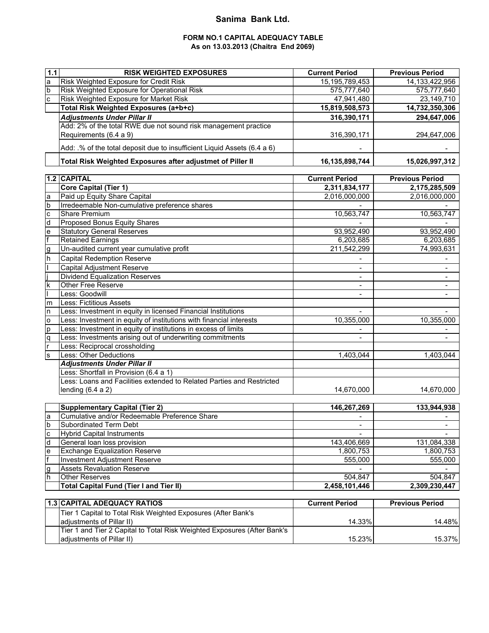## **Sanima Bank Ltd.**

### **FORM NO.1 CAPITAL ADEQUACY TABLE As on 13.03.2013 (Chaitra End 2069)**

| $1.1$                   | <b>RISK WEIGHTED EXPOSURES</b>                                           | <b>Current Period</b>    | <b>Previous Period</b>  |
|-------------------------|--------------------------------------------------------------------------|--------------------------|-------------------------|
| a<br>la                 | Risk Weighted Exposure for Credit Risk                                   | 15, 195, 789, 453        | 14, 133, 422, 956       |
|                         | Risk Weighted Exposure for Operational Risk                              | 575,777,640              | 575,777,640             |
| $\overline{c}$          | Risk Weighted Exposure for Market Risk                                   | 47,941,480               | 23,149,710              |
|                         | Total Risk Weighted Exposures (a+b+c)                                    | 15,819,508,573           | 14,732,350,306          |
|                         | <b>Adjustments Under Pillar II</b>                                       | 316,390,171              | 294,647,006             |
|                         | Add: 2% of the total RWE due not sound risk management practice          |                          |                         |
|                         | Requirements (6.4 a 9)                                                   | 316,390,171              | 294,647,006             |
|                         | Add: .% of the total deposit due to insufficient Liquid Assets (6.4 a 6) |                          |                         |
|                         |                                                                          |                          |                         |
|                         | Total Risk Weighted Exposures after adjustmet of Piller II               | 16,135,898,744           | 15,026,997,312          |
|                         | 1.2 CAPITAL                                                              |                          |                         |
|                         |                                                                          | <b>Current Period</b>    | <b>Previous Period</b>  |
|                         | <b>Core Capital (Tier 1)</b>                                             | 2,311,834,177            | 2,175,285,509           |
|                         | Paid up Equity Share Capital                                             | 2,016,000,000            | 2,016,000,000           |
| 예의어헌                    | Irredeemable Non-cumulative preference shares                            |                          |                         |
|                         | Share Premium                                                            | 10,563,747               | 10,563,747              |
|                         | Proposed Bonus Equity Shares                                             |                          |                         |
| $\frac{e}{f}$           | <b>Statutory General Reserves</b>                                        | 93,952,490               | 93,952,490              |
|                         | <b>Retained Earnings</b><br>Un-audited current year cumulative profit    | 6,203,685                | 6,203,685<br>74,993,631 |
| g<br>h                  |                                                                          | 211,542,299              |                         |
|                         | <b>Capital Redemption Reserve</b>                                        |                          |                         |
|                         | Capital Adjustment Reserve                                               |                          |                         |
| <u>×   .</u>            | <b>Dividend Equalization Reserves</b>                                    |                          |                         |
|                         | Other Free Reserve                                                       | $\blacksquare$           | $\blacksquare$          |
|                         | Less: Goodwill                                                           | $\blacksquare$           | $\blacksquare$          |
| m                       | <b>Less: Fictitious Assets</b>                                           |                          |                         |
| $\mathsf{n}$            | Less: Investment in equity in licensed Financial Institutions            |                          |                         |
| $\overline{\mathbf{o}}$ | Less: Investment in equity of institutions with financial interests      | 10,355,000               | 10,355,000              |
| p                       | Less: Investment in equity of institutions in excess of limits           |                          |                         |
| q                       | Less: Investments arising out of underwriting commitments                | $\overline{\phantom{a}}$ | ÷.                      |
|                         | Less: Reciprocal crossholding                                            |                          |                         |
| s)                      | <b>Less: Other Deductions</b>                                            | 1,403,044                | 1,403,044               |
|                         | <b>Adjustments Under Pillar II</b>                                       |                          |                         |
|                         | Less: Shortfall in Provision (6.4 a 1)                                   |                          |                         |
|                         | Less: Loans and Facilities extended to Related Parties and Restricted    |                          |                         |
|                         | lending $(6.4 a 2)$                                                      | 14,670,000               | 14,670,000              |
|                         | <b>Supplementary Capital (Tier 2)</b>                                    | 146,267,269              | 133,944,938             |
|                         | Cumulative and/or Redeemable Preference Share                            |                          |                         |
|                         | <b>Subordinated Term Debt</b>                                            |                          |                         |
| <u>ю   о   о</u>        | <b>Hybrid Capital Instruments</b>                                        | $\blacksquare$           |                         |
| $\overline{\mathsf{d}}$ | General loan loss provision                                              | 143,406,669              | 131,084,338             |
|                         | <b>Exchange Equalization Reserve</b>                                     | 1,800,753                | 1,800,753               |
| $\frac{e}{f}$           | <b>Investment Adjustment Reserve</b>                                     | 555,000                  | 555,000                 |
|                         | <b>Assets Revaluation Reserve</b>                                        |                          |                         |
| o<br>P                  | <b>Other Reserves</b>                                                    | 504,847                  | 504,847                 |
|                         | <b>Total Capital Fund (Tier I and Tier II)</b>                           | 2,458,101,446            | 2,309,230,447           |
|                         |                                                                          |                          |                         |
|                         | <b>1.3 CAPITAL ADEQUACY RATIOS</b>                                       | <b>Current Period</b>    | <b>Previous Period</b>  |
|                         | Tier 1 Capital to Total Risk Weighted Exposures (After Bank's            |                          |                         |
|                         | adjustments of Pillar II)                                                | 14.33%                   | 14.48%                  |
|                         | Tier 1 and Tier 2 Capital to Total Risk Weighted Exposures (After Bank's |                          |                         |

adjustments of Pillar II) 15.37% 15.37% 15.23% 15.23% 15.23% 15.37%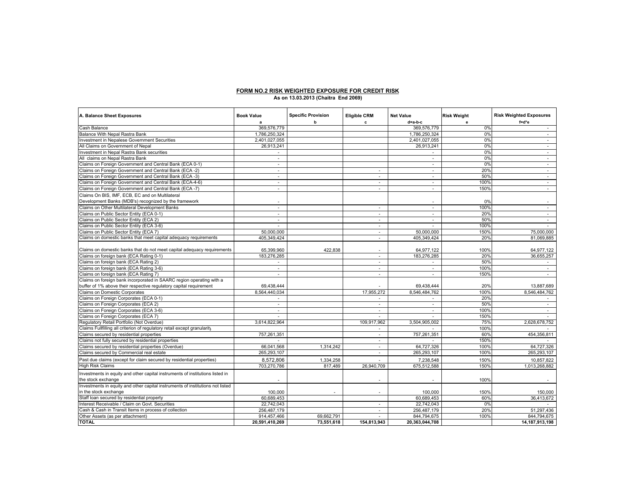# **FORM NO.2 RISK WEIGHTED EXPOSURE FOR CREDIT RISK As on 13.03.2013 (Chaitra End 2069)**

| A. Balance Sheet Exposures                                                     | <b>Book Value</b> | <b>Specific Provision</b> | <b>Eligible CRM</b>      | <b>Net Value</b>         | <b>Risk Weight</b> | <b>Risk Weighted Exposures</b> |
|--------------------------------------------------------------------------------|-------------------|---------------------------|--------------------------|--------------------------|--------------------|--------------------------------|
|                                                                                |                   | b                         | c                        | d=a-b-c                  | e                  | f=d*e                          |
| Cash Balance                                                                   | 369,576,779       |                           |                          | 369,576,779              | 0%                 | $\sim$                         |
| Balance With Nepal Rastra Bank                                                 | 1,786,250,324     |                           |                          | 1,786,250,324            | 0%                 | $\sim$                         |
| Investment in Nepalese Government Securities                                   | 2,401,027,055     |                           |                          | 2,401,027,055            | 0%                 | $\sim$                         |
| All Claims on Government of Nepal                                              | 26,913,241        |                           |                          | 26,913,241               | 0%                 | $\epsilon$                     |
| Investment in Nepal Rastra Bank securities                                     |                   |                           |                          |                          | 0%                 | ä,                             |
| All claims on Nepal Rastra Bank                                                | ÷.                |                           |                          |                          | 0%                 | $\sim$                         |
| Claims on Foreign Government and Central Bank (ECA 0-1)                        | ÷.                |                           |                          | $\sim$                   | 0%                 | $\sim$                         |
| Claims on Foreign Government and Central Bank (ECA -2)                         | $\sim$            |                           | $\sim$                   | ÷.                       | 20%                | $\sim$                         |
| Claims on Foreign Government and Central Bank (ECA -3)                         | $\sim$            |                           | $\sim$                   | $\overline{\phantom{a}}$ | 50%                | $\sim$                         |
| Claims on Foreign Government and Central Bank (ECA-4-6)                        | $\sim$            |                           | $\sim$                   | $\overline{\phantom{a}}$ | 100%               | $\sim$                         |
| Claims on Foreign Government and Central Bank (ECA -7)                         |                   |                           |                          |                          | 150%               |                                |
| Claims On BIS, IMF, ECB, EC and on Multilateral                                |                   |                           |                          |                          |                    |                                |
| Development Banks (MDB's) recognized by the framework                          |                   |                           |                          |                          | 0%                 |                                |
| Claims on Other Multilateral Development Banks                                 | $\sim$            |                           | $\sim$                   | $\sim$                   | 100%               | $\sim$                         |
| Claims on Public Sector Entity (ECA 0-1)                                       | ÷.                |                           | ÷.                       | $\sim$                   | 20%                | $\sim$                         |
| Claims on Public Sector Entity (ECA 2)                                         |                   |                           | ä,                       |                          | 50%                | ×.                             |
| Claims on Public Sector Entity (ECA 3-6)                                       |                   |                           | $\sim$                   |                          | 100%               |                                |
| Claims on Public Sector Entity (ECA 7)                                         | 50,000,000        |                           | $\sim$                   | 50,000,000               | 150%               | 75,000,000                     |
| Claims on domestic banks that meet capital adequacy requirements               | 405,349,424       |                           | $\sim$                   | 405,349,424              | 20%                | 81,069,885                     |
|                                                                                |                   |                           |                          |                          |                    |                                |
| Claims on domestic banks that do not meet capital adequacy requirements        | 65,399,960        | 422.838                   | $\sim$                   | 64,977,122               | 100%               | 64,977,122                     |
| Claims on foreign bank (ECA Rating 0-1)                                        | 183,276,285       |                           | ×.                       | 183,276,285              | 20%                | 36,655,257                     |
| Claims on foreign bank (ECA Rating 2)                                          |                   |                           | ٠                        |                          | 50%                |                                |
| Claims on foreign bank (ECA Rating 3-6)                                        | $\sim$            |                           | $\sim$                   | ÷.                       | 100%               | $\sim$                         |
| Claims on foreign bank (ECA Rating 7)                                          | ÷.                |                           | $\sim$                   | ÷.                       | 150%               | $\sim$                         |
| Claims on foreign bank incorporated in SAARC region operating with a           |                   |                           |                          |                          |                    |                                |
| buffer of 1% above their respective regulatory capital requirement             | 69,438,444        |                           |                          | 69,438,444               | 20%                | 13,887,689                     |
| Claims on Domestic Corporates                                                  | 8,564,440,034     |                           | 17,955,272               | 8,546,484,762            | 100%               | 8,546,484,762                  |
| Claims on Foreign Corporates (ECA 0-1)                                         |                   |                           |                          |                          | 20%                |                                |
| Claims on Foreign Corporates (ECA 2)                                           |                   |                           | $\sim$                   |                          | 50%                |                                |
| Claims on Foreign Corporates (ECA 3-6)                                         | $\sim$            |                           | $\sim$                   | ÷.                       | 100%               | $\sim$                         |
| Claims on Foreign Corporates (ECA 7)                                           | ÷.                |                           | $\sim$                   | ÷.                       | 150%               |                                |
| Regulatory Retail Portfolio (Not Overdue)                                      | 3,614,822,964     |                           | 109.917.962              | 3,504,905,002            | 75%                | 2,628,678,752                  |
| Claims Fullfilling all criterion of regulatory retail except granularity       |                   |                           | $\sim$                   | $\overline{\phantom{a}}$ | 100%               |                                |
| Claims secured by residential properties                                       | 757,261,351       |                           | $\sim$                   | 757,261,351              | 60%                | 454,356,811                    |
| Claims not fully secured by residential properties                             |                   |                           |                          |                          | 150%               |                                |
| Claims secured by residential properties (Overdue)                             | 66,041,568        | 1,314,242                 | $\overline{\phantom{a}}$ | 64,727,326               | 100%               | 64,727,326                     |
| Claims secured by Commercial real estate                                       |                   |                           | $\sim$                   | 265,293,107              | 100%               | 265,293,107                    |
|                                                                                | 265,293,107       |                           |                          |                          |                    |                                |
| Past due claims (except for claim secured by residential properties)           | 8,572,806         | 1,334,258                 |                          | 7,238,548                | 150%               | 10,857,822                     |
| <b>High Risk Claims</b>                                                        | 703,270,786       | 817.489                   | 26,940,709               | 675,512,588              | 150%               | 1,013,268,882                  |
| Investments in equity and other capital instruments of institutions listed in  |                   |                           |                          |                          |                    |                                |
| the stock exchange                                                             |                   |                           |                          |                          | 100%               |                                |
| Investments in equity and other capital instruments of institutions not listed |                   |                           |                          |                          |                    |                                |
| in the stock exchange                                                          | 100.000           | $\sim$                    |                          | 100,000                  | 150%               | 150,000                        |
| Staff loan secured by residential property                                     | 60,689,453        |                           |                          | 60,689,453               | 60%                | 36,413,672                     |
| Interest Receivable / Claim on Govt. Securities                                | 22,742,043        |                           | $\sim$                   | 22,742,043               | 0%                 |                                |
| Cash & Cash in Transit Items in process of collection                          | 256.487.179       |                           | $\sim$                   | 256.487.179              | 20%                | 51.297.436                     |
| Other Assets (as per attachment)                                               | 914,457,466       | 69,662,791                | ÷.                       | 844,794,675              | 100%               | 844,794,675                    |
| <b>TOTAL</b>                                                                   | 20,591,410,269    | 73,551,618                | 154,813,943              | 20,363,044,708           |                    | 14,187,913,198                 |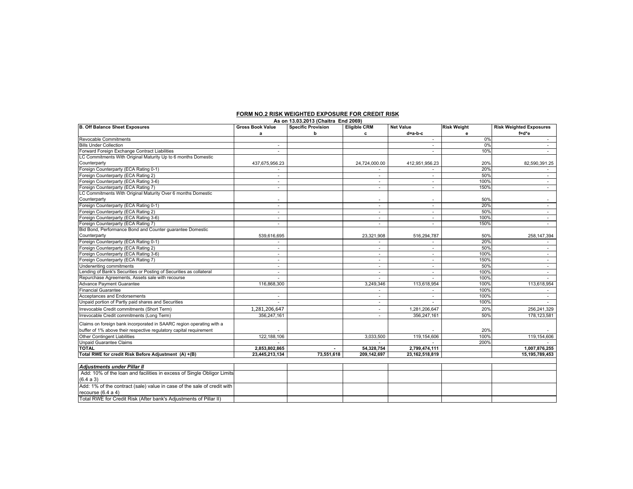| As on 13.03.2013 (Chaitra End 2069)                                                       |                         |                           |                          |                          |                    |                                |
|-------------------------------------------------------------------------------------------|-------------------------|---------------------------|--------------------------|--------------------------|--------------------|--------------------------------|
| <b>B. Off Balance Sheet Exposures</b>                                                     | <b>Gross Book Value</b> | <b>Specific Provision</b> | <b>Eligible CRM</b>      | <b>Net Value</b>         | <b>Risk Weight</b> | <b>Risk Weighted Exposures</b> |
|                                                                                           | a                       | b                         | c                        | d=a-b-c                  | е                  | f=d*e                          |
| Revocable Commitments                                                                     |                         |                           |                          |                          | 0%                 |                                |
| <b>Bills Under Collection</b>                                                             |                         |                           |                          |                          | 0%                 | $\sim$                         |
| Forward Foreign Exchange Contract Liabilities                                             |                         |                           |                          |                          | 10%                |                                |
| LC Commitments With Original Maturity Up to 6 months Domestic                             |                         |                           |                          |                          |                    |                                |
| Counterparty                                                                              | 437,675,956.23          |                           | 24,724,000.00            | 412,951,956.23           | 20%                | 82,590,391.25                  |
| Foreign Counterparty (ECA Rating 0-1)                                                     |                         |                           |                          |                          | 20%                |                                |
| Foreign Counterparty (ECA Rating 2)                                                       | ٠                       |                           | $\overline{\phantom{a}}$ | ٠                        | 50%                | $\sim$                         |
| Foreign Counterparty (ECA Rating 3-6)                                                     |                         |                           | ٠                        |                          | 100%               |                                |
| Foreign Counterparty (ECA Rating 7)                                                       | $\sim$                  |                           | $\overline{\phantom{a}}$ |                          | 150%               | $\sim$                         |
| LC Commitments With Original Maturity Over 6 months Domestic                              |                         |                           |                          |                          |                    |                                |
| Counterparty                                                                              |                         |                           | ٠                        | $\overline{\phantom{a}}$ | 50%                | $\sim$                         |
| Foreign Counterparty (ECA Rating 0-1)                                                     | $\sim$                  |                           | ٠                        | $\overline{\phantom{a}}$ | 20%                | ٠                              |
| Foreign Counterparty (ECA Rating 2)                                                       | $\sim$                  |                           | $\mathbf{r}$             |                          | 50%                | $\sim$                         |
| Foreign Counterparty (ECA Rating 3-6)                                                     |                         |                           | ٠                        |                          | 100%               | $\sim$                         |
| Foreign Counterparty (ECA Rating 7)                                                       |                         |                           |                          |                          | 150%               | ٠                              |
| Bid Bond, Performance Bond and Counter quarantee Domestic                                 |                         |                           |                          |                          |                    |                                |
| Counterparty                                                                              | 539,616,695             |                           | 23,321,908               | 516,294,787              | 50%                | 258, 147, 394                  |
| Foreign Counterparty (ECA Rating 0-1)                                                     | ٠                       |                           | $\mathbf{r}$             | $\sim$                   | 20%                | $\sim$                         |
| Foreign Counterparty (ECA Rating 2)                                                       | $\sim$                  |                           | $\mathbf{r}$             |                          | 50%                | $\sim$                         |
| Foreign Counterparty (ECA Rating 3-6)                                                     | $\sim$                  |                           | ٠                        |                          | 100%               | $\sim$                         |
| Foreign Counterparty (ECA Rating 7)                                                       |                         |                           | ٠                        |                          | 150%               | $\sim$                         |
| Underwriting commitments                                                                  | ÷.                      |                           | $\sim$                   | $\sim$                   | 50%                | $\sim$                         |
| Lending of Bank's Securities or Posting of Securities as collateral                       | $\sim$                  |                           | $\sim$                   | $\sim$                   | 100%               | $\sim$                         |
| Repurchase Agreements, Assets sale with recourse                                          | $\sim$                  |                           | $\sim$                   | $\sim$                   | 100%               | $\sim$                         |
| Advance Payment Guarantee                                                                 | 116,868,300             |                           | 3,249,346                | 113,618,954              | 100%               | 113,618,954                    |
| <b>Financial Guarantee</b>                                                                |                         |                           |                          |                          | 100%               |                                |
| Acceptances and Endorsements                                                              |                         |                           |                          |                          | 100%               |                                |
| Unpaid portion of Partly paid shares and Securities                                       |                         |                           | $\overline{\phantom{a}}$ |                          | 100%               |                                |
| Irrevocable Credit commitments (Short Term)                                               | 1,281,206,647           |                           |                          | 1,281,206,647            | 20%                | 256.241.329                    |
| Irrevocable Credit commitments (Long Term)                                                | 356,247,161             |                           |                          | 356,247,161              | 50%                | 178,123,581                    |
|                                                                                           |                         |                           |                          |                          |                    |                                |
| Claims on foreign bank incorporated in SAARC region operating with a                      |                         |                           |                          |                          |                    |                                |
| buffer of 1% above their respective regulatory capital requirement                        |                         |                           |                          |                          | 20%                |                                |
| <b>Other Contingent Liabilities</b>                                                       | 122,188,106             |                           | 3,033,500                | 119,154,606              | 100%               | 119,154,606                    |
| <b>Unpaid Guarantee Claims</b>                                                            |                         |                           |                          |                          | 200%               |                                |
| TOTAL                                                                                     | 2,853,802,865           | $\blacksquare$            | 54,328,754               | 2,799,474,111            |                    | 1,007,876,255                  |
| Total RWE for credit Risk Before Adjustment (A) +(B)                                      | 23,445,213,134          | 73,551,618                | 209,142,697              | 23,162,518,819           |                    | 15,195,789,453                 |
| <b>Adjustments under Pillar II</b>                                                        |                         |                           |                          |                          |                    |                                |
| Add: 10% of the loan and facilities in excess of Single Obligor Limits                    |                         |                           |                          |                          |                    |                                |
|                                                                                           |                         |                           |                          |                          |                    |                                |
| (6.4 a 3)                                                                                 |                         |                           |                          |                          |                    |                                |
| Add: 1% of the contract (sale) value in case of the sale of credit with                   |                         |                           |                          |                          |                    |                                |
| recourse $(6.4 a 4)$<br>Total RWE for Credit Risk (After bank's Adjustments of Pillar II) |                         |                           |                          |                          |                    |                                |
|                                                                                           |                         |                           |                          |                          |                    |                                |

#### **FORM NO.2 RISK WEIGHTED EXPOSURE FOR CREDIT RISK**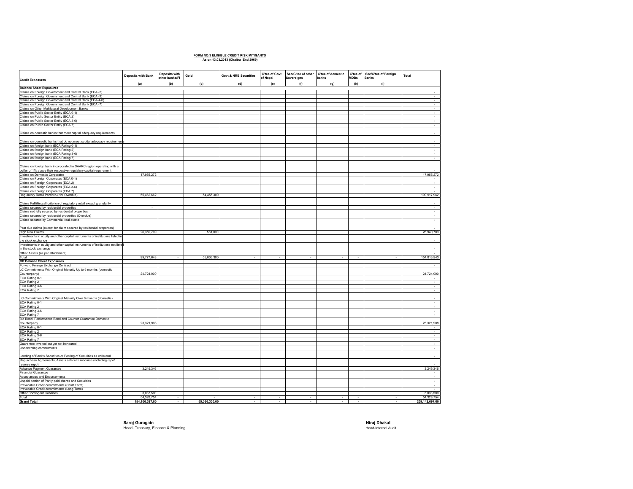### **FORM NO.3 ELIGIBLE CREDIT RISK MITIGANTS As on 13.03.2013 (Chaitra End 2069)**

| <b>Credit Exposures</b>                                                                                                                    | Deposits with Bank           | Deposits with<br>other banks/FI | Gold          | <b>Govt.&amp; NRB Securities</b> | G'tee of Govt.<br>of Nepal | Sec/G'tee of other G'tee of domestic<br>Sovereigns | banks                    | G'tee of<br><b>MDBs</b>  | Sec/G'tee of Foreign<br><b>Banks</b> | Total                        |
|--------------------------------------------------------------------------------------------------------------------------------------------|------------------------------|---------------------------------|---------------|----------------------------------|----------------------------|----------------------------------------------------|--------------------------|--------------------------|--------------------------------------|------------------------------|
|                                                                                                                                            | (a)                          | (b)                             | (c)           | (d)                              | (e)                        | (f)                                                | (g)                      | (h)                      | (1)                                  |                              |
| <b>Balance Sheet Exposures</b><br>Claims on Foreign Government and Central Bank (ECA -2)                                                   |                              |                                 |               |                                  |                            |                                                    |                          |                          |                                      | $\sim$                       |
| Claims on Foreign Government and Central Bank (ECA -3)                                                                                     |                              |                                 |               |                                  |                            |                                                    |                          |                          |                                      | ÷.                           |
| Claims on Foreign Government and Central Bank (ECA-4-6)                                                                                    |                              |                                 |               |                                  |                            |                                                    |                          |                          |                                      | $\sim$                       |
| Claims on Foreign Government and Central Bank (ECA -7)                                                                                     |                              |                                 |               |                                  |                            |                                                    |                          |                          |                                      | $\sim$                       |
| Claims on Other Multilateral Development Banks                                                                                             |                              |                                 |               |                                  |                            |                                                    |                          |                          |                                      | $\sim$                       |
| Claims on Public Sector Entity (ECA 0-1)                                                                                                   |                              |                                 |               |                                  |                            |                                                    |                          |                          |                                      | $\tau_{\rm{c}}$              |
| Claims on Public Sector Entity (ECA 2)                                                                                                     |                              |                                 |               |                                  |                            |                                                    |                          |                          |                                      | ÷                            |
| Claims on Public Sector Entity (ECA 3-6)<br>Claims on Public Sector Entity (ECA 7)                                                         |                              |                                 |               |                                  |                            |                                                    |                          |                          |                                      | $\sim$                       |
|                                                                                                                                            |                              |                                 |               |                                  |                            |                                                    |                          |                          |                                      |                              |
| Claims on domestic banks that meet capital adequacy requirements                                                                           |                              |                                 |               |                                  |                            |                                                    |                          |                          |                                      | $\sim$                       |
| Claims on domestic banks that do not meet capital adequacy requirements                                                                    |                              |                                 |               |                                  |                            |                                                    |                          |                          |                                      |                              |
| Claims on foreign bank (ECA Rating 0-1)                                                                                                    |                              |                                 |               |                                  |                            |                                                    |                          |                          |                                      | $\sim$                       |
| Claims on foreign bank (ECA Rating 2)                                                                                                      |                              |                                 |               |                                  |                            |                                                    |                          |                          |                                      | τ                            |
| Claims on foreign bank (ECA Rating 3-6)                                                                                                    |                              |                                 |               |                                  |                            |                                                    |                          |                          |                                      | $\sim$                       |
| Claims on foreign bank (ECA Rating 7)                                                                                                      |                              |                                 |               |                                  |                            |                                                    |                          |                          |                                      | $\sim$                       |
| Claims on foreign bank incorporated in SAARC region operating with a<br>buffer of 1% above their respective regulatory capital requirement |                              |                                 |               |                                  |                            |                                                    |                          |                          |                                      |                              |
| Claims on Domestic Corporates                                                                                                              | 17,955,272                   |                                 |               |                                  |                            |                                                    |                          |                          |                                      | 17,955,272                   |
| Claims on Foreign Corporates (ECA 0-1)                                                                                                     |                              |                                 |               |                                  |                            |                                                    |                          |                          |                                      |                              |
| Claims on Foreign Corporates (ECA 2)                                                                                                       |                              |                                 |               |                                  |                            |                                                    |                          |                          |                                      | $\sim$                       |
| Claims on Foreign Corporates (ECA 3-6)                                                                                                     |                              |                                 |               |                                  |                            |                                                    |                          |                          |                                      | $\sim$                       |
| Claims on Foreign Corporates (ECA 7)                                                                                                       |                              |                                 |               |                                  |                            |                                                    |                          |                          |                                      | $\sim$                       |
| Regulatory Retail Portfolio (Not Overdue)                                                                                                  | 55,462,662                   |                                 | 54,455,300    |                                  |                            |                                                    |                          |                          |                                      | 109,917,962                  |
|                                                                                                                                            |                              |                                 |               |                                  |                            |                                                    |                          |                          |                                      |                              |
| Claims Fullfilling all criterion of regulatory retail except granularity                                                                   |                              |                                 |               |                                  |                            |                                                    |                          |                          |                                      | $\sim$                       |
| Claims secured by residential properties<br>Claims not fully secured by residential properties                                             |                              |                                 |               |                                  |                            |                                                    |                          |                          |                                      | $\sim$                       |
| Claims secured by residential properties (Overdue)                                                                                         |                              |                                 |               |                                  |                            |                                                    |                          |                          |                                      | $\sim$                       |
| Claims secured by Commercial real estate                                                                                                   |                              |                                 |               |                                  |                            |                                                    |                          |                          |                                      | $\sim$                       |
|                                                                                                                                            |                              |                                 |               |                                  |                            |                                                    |                          |                          |                                      |                              |
| Past due claims (except for claim secured by residential properties)                                                                       |                              |                                 |               |                                  |                            |                                                    |                          |                          |                                      |                              |
| <b>High Risk Claims</b>                                                                                                                    | 26,359,709                   |                                 | 581,000       |                                  |                            |                                                    |                          |                          |                                      | 26,940,709                   |
| Investments in equity and other capital instruments of institutions listed in                                                              |                              |                                 |               |                                  |                            |                                                    |                          |                          |                                      |                              |
| the stock exchange                                                                                                                         |                              |                                 |               |                                  |                            |                                                    |                          |                          |                                      |                              |
| Investments in equity and other capital instruments of institutions not listed                                                             |                              |                                 |               |                                  |                            |                                                    |                          |                          |                                      |                              |
| in the stock exchange                                                                                                                      |                              |                                 |               |                                  |                            |                                                    |                          |                          |                                      |                              |
| Other Assets (as per attachment)<br>Total                                                                                                  | 99,777,643                   | $\sim$                          | 55,036,300    | ÷                                | ٠                          | ÷                                                  | $\overline{\phantom{a}}$ | ٠                        | ÷                                    | 154,813,943                  |
| Off Balance Sheet Exposures                                                                                                                |                              |                                 |               |                                  |                            |                                                    |                          |                          |                                      |                              |
| Forward Foreign Exchange Contract                                                                                                          |                              |                                 |               |                                  |                            |                                                    |                          |                          |                                      | $\sim$                       |
| LC Commitments With Original Maturity Up to 6 months (domestic                                                                             |                              |                                 |               |                                  |                            |                                                    |                          |                          |                                      |                              |
| Counterparty)                                                                                                                              | 24,724,000                   |                                 |               |                                  |                            |                                                    |                          |                          |                                      | 24,724,000                   |
| ECA Rating 0-1                                                                                                                             |                              |                                 |               |                                  |                            |                                                    |                          |                          |                                      |                              |
| ECA Rating 2                                                                                                                               |                              |                                 |               |                                  |                            |                                                    |                          |                          |                                      | $\sim$                       |
| ECA Rating 3-6                                                                                                                             |                              |                                 |               |                                  |                            |                                                    |                          |                          |                                      | $\sim$                       |
| ECA Rating 7                                                                                                                               |                              |                                 |               |                                  |                            |                                                    |                          |                          |                                      | $\sim$                       |
|                                                                                                                                            |                              |                                 |               |                                  |                            |                                                    |                          |                          |                                      |                              |
| LC Commitments With Original Maturity Over 6 months (domestic)                                                                             |                              |                                 |               |                                  |                            |                                                    |                          |                          |                                      |                              |
| ECA Rating 0-1<br>ECA Rating 2                                                                                                             |                              |                                 |               |                                  |                            |                                                    |                          |                          |                                      | $\sim$<br>$\sim$             |
| ECA Rating 3-6                                                                                                                             |                              |                                 |               |                                  |                            |                                                    |                          |                          |                                      | ÷.                           |
| ECA Rating 7                                                                                                                               |                              |                                 |               |                                  |                            |                                                    |                          |                          |                                      | ÷.                           |
| Bid Bond, Performance Bond and Counter Guarantee Domestic                                                                                  |                              |                                 |               |                                  |                            |                                                    |                          |                          |                                      |                              |
| Counterparty                                                                                                                               | 23,321,908                   |                                 |               |                                  |                            |                                                    |                          |                          |                                      | 23,321,908                   |
| ECA Rating 0-1                                                                                                                             |                              |                                 |               |                                  |                            |                                                    |                          |                          |                                      |                              |
| ECA Rating 2                                                                                                                               |                              |                                 |               |                                  |                            |                                                    |                          |                          |                                      |                              |
| ECA Rating 3-6                                                                                                                             |                              |                                 |               |                                  |                            |                                                    |                          |                          |                                      | $\sim$                       |
| ECA Rating 7                                                                                                                               |                              |                                 |               |                                  |                            |                                                    |                          |                          |                                      | $\sim$                       |
| Guarantee Invoked but yet not honoured                                                                                                     |                              |                                 |               |                                  |                            |                                                    |                          |                          |                                      | $\sim$                       |
| Underwriting commitments                                                                                                                   |                              |                                 |               |                                  |                            |                                                    |                          |                          |                                      | $\sim$                       |
| Lending of Bank's Securities or Posting of Securities as collateral                                                                        |                              |                                 |               |                                  |                            |                                                    |                          |                          |                                      |                              |
| Repurchase Agreements, Assets sale with recourse (including repo/                                                                          |                              |                                 |               |                                  |                            |                                                    |                          |                          |                                      |                              |
| reverse repo)                                                                                                                              |                              |                                 |               |                                  |                            |                                                    |                          |                          |                                      |                              |
| Advance Payment Guarantee                                                                                                                  | 3,249,346                    |                                 |               |                                  |                            |                                                    |                          |                          |                                      | 3,249,346                    |
| <b>Financial Guarantee</b>                                                                                                                 |                              |                                 |               |                                  |                            |                                                    |                          |                          |                                      | $\sim$                       |
| Acceptances and Endorsements                                                                                                               |                              |                                 |               |                                  |                            |                                                    |                          |                          |                                      | $\sim$                       |
| Unpaid portion of Partly paid shares and Securities                                                                                        |                              |                                 |               |                                  |                            |                                                    |                          |                          |                                      | 속                            |
| Irrevocable Credit commitments (Short Term)                                                                                                |                              |                                 |               |                                  |                            |                                                    |                          |                          |                                      |                              |
| Irrevocable Credit commitments (Long Term)                                                                                                 |                              |                                 |               |                                  |                            |                                                    |                          |                          |                                      |                              |
| Other Contingent Liabilities                                                                                                               | 3,033,500                    |                                 |               |                                  |                            |                                                    |                          |                          |                                      | 3,033,500                    |
| Total<br><b>Grand Total</b>                                                                                                                | 54,328,754<br>154,106,397.00 |                                 | 55,036,300.00 |                                  |                            |                                                    |                          |                          |                                      | 54,328,754<br>209,142,697.00 |
|                                                                                                                                            |                              | $\overline{\phantom{a}}$        |               | $\overline{\phantom{a}}$         | $\cdot$                    | $\overline{\phantom{a}}$                           | $\blacksquare$           | $\overline{\phantom{a}}$ | $\blacksquare$                       |                              |

**Saroj Guragain Niraj Dhakal** Head- Treasury, Finance & Planning Head-Internal Audit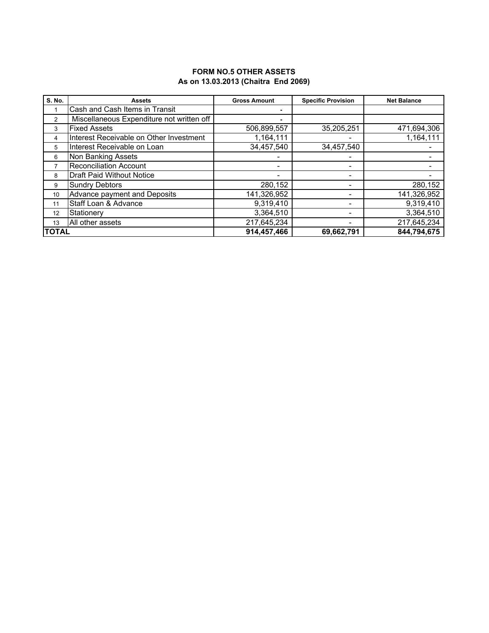### **FORM NO.5 OTHER ASSETS As on 13.03.2013 (Chaitra End 2069)**

| <b>S. No.</b> | <b>Assets</b>                             | <b>Gross Amount</b> | <b>Specific Provision</b> | <b>Net Balance</b> |
|---------------|-------------------------------------------|---------------------|---------------------------|--------------------|
|               | Cash and Cash Items in Transit            |                     |                           |                    |
| 2             | Miscellaneous Expenditure not written off | $\blacksquare$      |                           |                    |
| 3             | <b>Fixed Assets</b>                       | 506,899,557         | 35,205,251                | 471,694,306        |
| 4             | Interest Receivable on Other Investment   | 1,164,111           |                           | 1,164,111          |
| 5             | Interest Receivable on Loan               | 34,457,540          | 34,457,540                |                    |
| 6             | Non Banking Assets                        |                     |                           |                    |
| 7             | <b>Reconciliation Account</b>             |                     | ٠                         |                    |
| 8             | <b>Draft Paid Without Notice</b>          | ۰                   | $\overline{\phantom{0}}$  |                    |
| 9             | <b>Sundry Debtors</b>                     | 280,152             | $\blacksquare$            | 280,152            |
| 10            | Advance payment and Deposits              | 141,326,952         | -                         | 141,326,952        |
| 11            | Staff Loan & Advance                      | 9,319,410           | $\overline{\phantom{0}}$  | 9,319,410          |
| 12            | Stationery                                | 3,364,510           |                           | 3,364,510          |
| 13            | All other assets                          | 217,645,234         | $\overline{\phantom{0}}$  | 217,645,234        |
| ΙΤΟΤΑL        |                                           | 914,457,466         | 69,662,791                | 844,794,675        |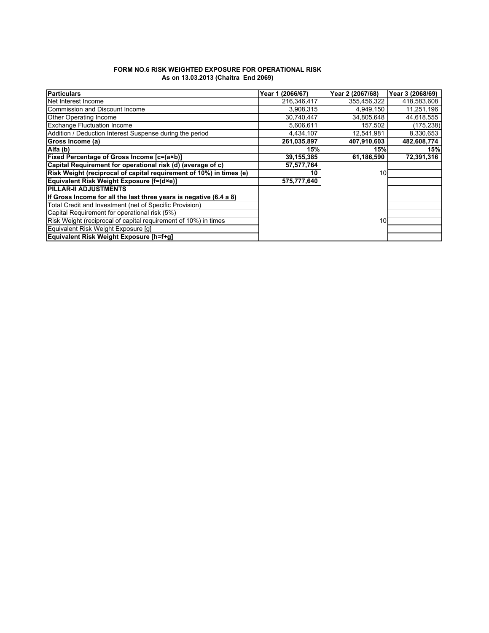| <b>FORM NO.6 RISK WEIGHTED EXPOSURE FOR OPERATIONAL RISK</b> |  |
|--------------------------------------------------------------|--|
| As on 13.03.2013 (Chaitra End 2069)                          |  |

| <b>Particulars</b>                                                  | (2066/67)<br>Year 1 | Year 2 (2067/68) | Year 3 (2068/69) |
|---------------------------------------------------------------------|---------------------|------------------|------------------|
| Net Interest Income                                                 | 216,346,417         | 355,456,322      | 418,583,608      |
| Commission and Discount Income                                      | 3,908,315           | 4,949,150        | 11,251,196       |
| Other Operating Income                                              | 30,740,447          | 34,805,648       | 44,618,555       |
| <b>Exchange Fluctuation Income</b>                                  | 5.606.611           | 157,502          | (175,238)        |
| Addition / Deduction Interest Suspense during the period            | 4,434,107           | 12,541,981       | 8,330,653        |
| Gross income (a)                                                    | 261,035,897         | 407,910,603      | 482,608,774      |
| Alfa (b)                                                            | 15%                 | 15%              | 15%              |
| Fixed Percentage of Gross Income [c=(a×b)]                          | 39, 155, 385        | 61,186,590       | 72,391,316       |
| Capital Requirement for operational risk (d) (average of c)         | 57,577,764          |                  |                  |
| Risk Weight (reciprocal of capital requirement of 10%) in times (e) | 10                  | 10               |                  |
| Equivalent Risk Weight Exposure [f=(d×e)]                           | 575,777,640         |                  |                  |
| <b>PILLAR-II ADJUSTMENTS</b>                                        |                     |                  |                  |
| If Gross Income for all the last three years is negative (6.4 a 8)  |                     |                  |                  |
| Total Credit and Investment (net of Specific Provision)             |                     |                  |                  |
| Capital Requirement for operational risk (5%)                       |                     |                  |                  |
| Risk Weight (reciprocal of capital requirement of 10%) in times     |                     | 10               |                  |
| Equivalent Risk Weight Exposure [q]                                 |                     |                  |                  |
| Equivalent Risk Weight Exposure [h=f+g]                             |                     |                  |                  |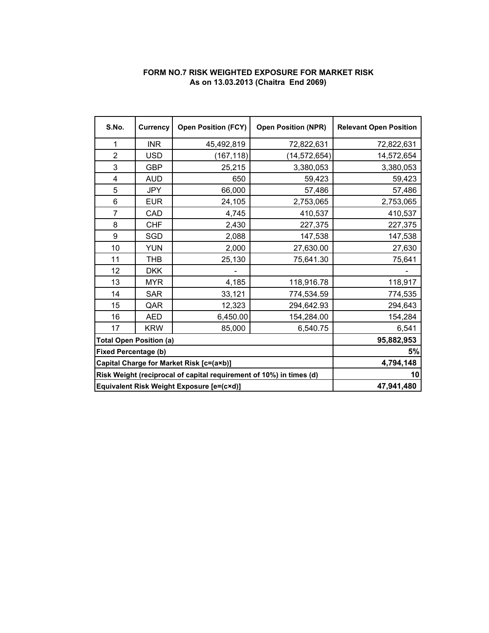## **FORM NO.7 RISK WEIGHTED EXPOSURE FOR MARKET RISK As on 13.03.2013 (Chaitra End 2069)**

| S.No.<br><b>Currency</b>                                            |            | <b>Open Position (FCY)</b> | <b>Open Position (NPR)</b> | <b>Relevant Open Position</b> |
|---------------------------------------------------------------------|------------|----------------------------|----------------------------|-------------------------------|
| 1                                                                   | <b>INR</b> | 45,492,819                 | 72,822,631                 | 72,822,631                    |
| $\overline{2}$                                                      | <b>USD</b> | (167, 118)                 | (14, 572, 654)             | 14,572,654                    |
| 3                                                                   | <b>GBP</b> | 25,215                     | 3,380,053                  | 3,380,053                     |
| 4                                                                   | <b>AUD</b> | 650                        | 59,423                     | 59,423                        |
| 5                                                                   | <b>JPY</b> | 66,000                     | 57,486                     | 57,486                        |
| 6                                                                   | <b>EUR</b> | 24,105                     | 2,753,065                  | 2,753,065                     |
| $\overline{7}$                                                      | CAD        | 4,745                      | 410,537                    | 410,537                       |
| 8                                                                   | <b>CHF</b> | 2,430                      | 227,375                    | 227,375                       |
| 9                                                                   | SGD        | 2,088                      | 147,538                    | 147,538                       |
| 10                                                                  | <b>YUN</b> | 2,000                      | 27,630.00                  | 27,630                        |
| 11                                                                  | <b>THB</b> | 25,130                     | 75,641.30                  | 75,641                        |
| 12                                                                  | <b>DKK</b> |                            |                            |                               |
| 13                                                                  | <b>MYR</b> | 4,185                      | 118,916.78                 | 118,917                       |
| 14                                                                  | <b>SAR</b> | 33,121                     | 774,534.59                 | 774,535                       |
| 15                                                                  | QAR        | 12,323                     | 294,642.93                 | 294,643                       |
| 16                                                                  | <b>AED</b> | 6,450.00                   | 154,284.00                 | 154,284                       |
| 17                                                                  | <b>KRW</b> | 85,000                     | 6,540.75                   | 6,541                         |
| <b>Total Open Position (a)</b>                                      |            | 95,882,953                 |                            |                               |
| <b>Fixed Percentage (b)</b>                                         |            | 5%                         |                            |                               |
| Capital Charge for Market Risk [c=(a×b)]                            |            | 4,794,148                  |                            |                               |
| Risk Weight (reciprocal of capital requirement of 10%) in times (d) |            | 10                         |                            |                               |
| Equivalent Risk Weight Exposure [e=(c×d)]                           |            | 47,941,480                 |                            |                               |